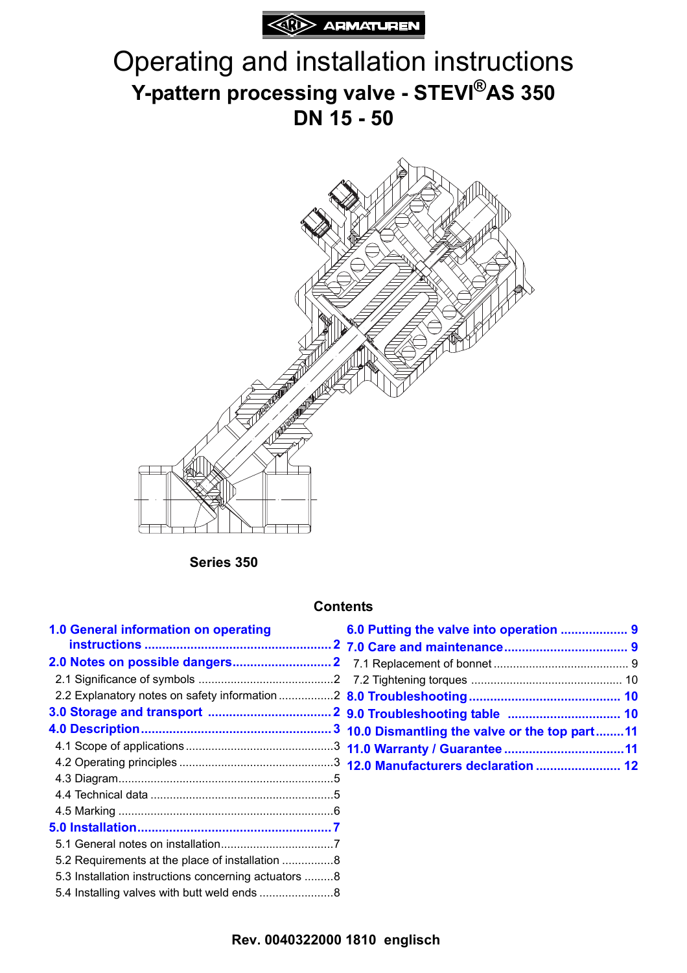

# Operating and installation instructions **Y-pattern processing valve - STEVI®AS 350 DN 15 - 50**



**Series 350**

#### **Contents**

| 1.0 General information on operating                 |  |
|------------------------------------------------------|--|
|                                                      |  |
|                                                      |  |
|                                                      |  |
| 2.2 Explanatory notes on safety information 2        |  |
|                                                      |  |
|                                                      |  |
|                                                      |  |
|                                                      |  |
|                                                      |  |
|                                                      |  |
|                                                      |  |
|                                                      |  |
|                                                      |  |
| 5.2 Requirements at the place of installation 8      |  |
| 5.3 Installation instructions concerning actuators 8 |  |
|                                                      |  |
|                                                      |  |

| 10.0 Dismantling the valve or the top part11 |  |
|----------------------------------------------|--|
|                                              |  |
| 12.0 Manufacturers declaration  12           |  |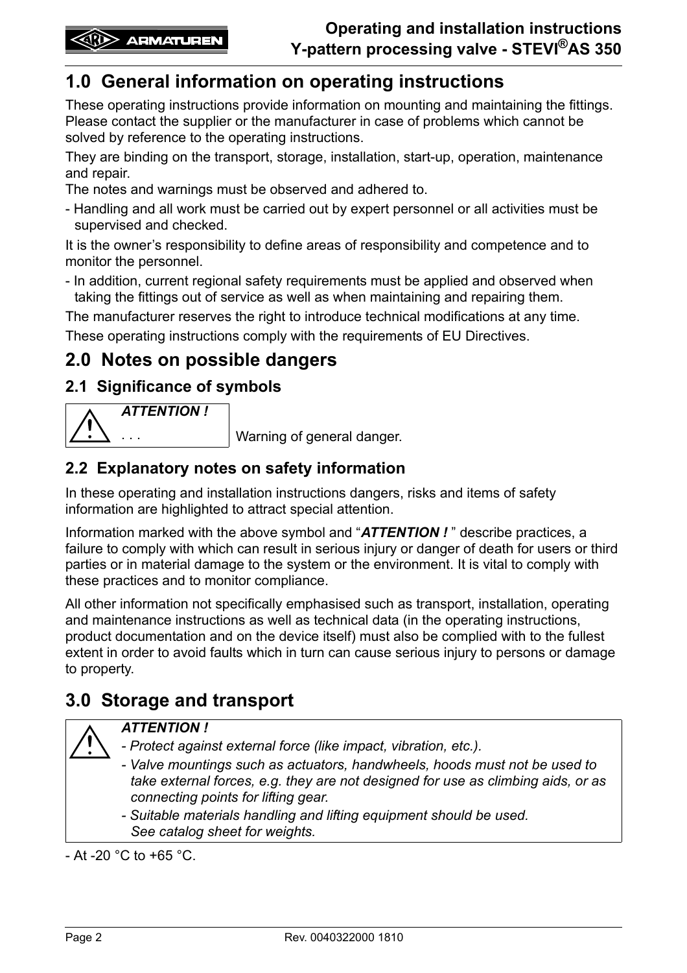# <span id="page-1-0"></span>**1.0 General information on operating instructions**

These operating instructions provide information on mounting and maintaining the fittings. Please contact the supplier or the manufacturer in case of problems which cannot be solved by reference to the operating instructions.

They are binding on the transport, storage, installation, start-up, operation, maintenance and repair.

The notes and warnings must be observed and adhered to.

- Handling and all work must be carried out by expert personnel or all activities must be supervised and checked.

It is the owner's responsibility to define areas of responsibility and competence and to monitor the personnel.

- In addition, current regional safety requirements must be applied and observed when taking the fittings out of service as well as when maintaining and repairing them.

The manufacturer reserves the right to introduce technical modifications at any time.

These operating instructions comply with the requirements of EU Directives.

## <span id="page-1-1"></span>**2.0 Notes on possible dangers**

### <span id="page-1-2"></span>**2.1 Significance of symbols**



. . . Warning of general danger.

### <span id="page-1-3"></span>**2.2 Explanatory notes on safety information**

In these operating and installation instructions dangers, risks and items of safety information are highlighted to attract special attention.

Information marked with the above symbol and "*ATTENTION !* " describe practices, a failure to comply with which can result in serious injury or danger of death for users or third parties or in material damage to the system or the environment. It is vital to comply with these practices and to monitor compliance.

All other information not specifically emphasised such as transport, installation, operating and maintenance instructions as well as technical data (in the operating instructions, product documentation and on the device itself) must also be complied with to the fullest extent in order to avoid faults which in turn can cause serious injury to persons or damage to property.

# <span id="page-1-4"></span>**3.0 Storage and transport**



### *ATTENTION !*

- *Protect against external force (like impact, vibration, etc.).*
- *Valve mountings such as actuators, handwheels, hoods must not be used to take external forces, e.g. they are not designed for use as climbing aids, or as connecting points for lifting gear.*
- *Suitable materials handling and lifting equipment should be used. See catalog sheet for weights.*

- At -20  $^{\circ}$ C to +65  $^{\circ}$ C.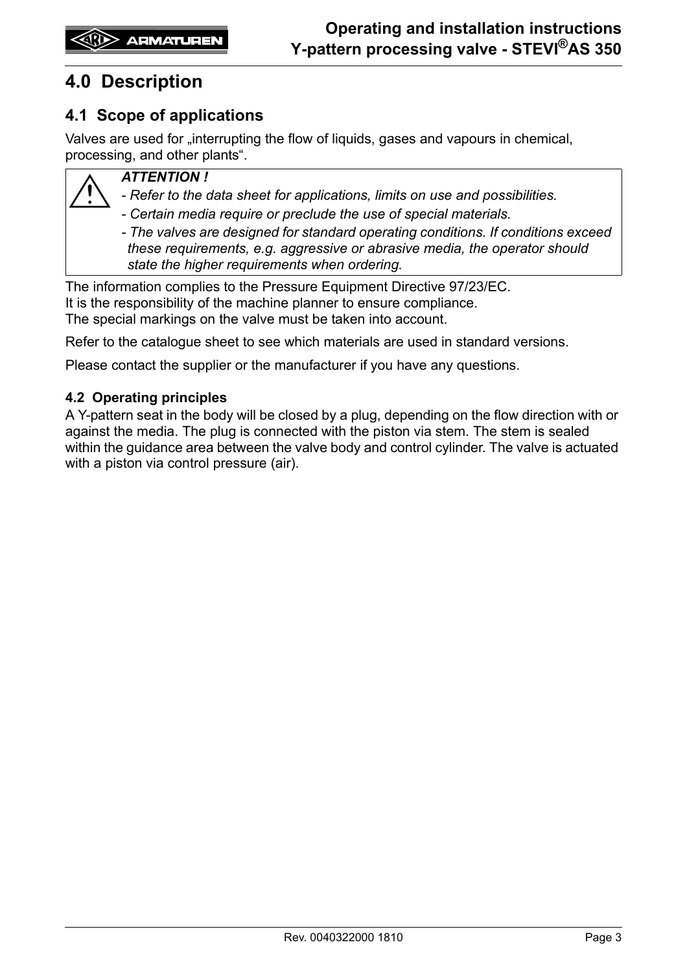# <span id="page-2-0"></span>**4.0 Description**

### <span id="page-2-1"></span>**4.1 Scope of applications**

Valves are used for "interrupting the flow of liquids, gases and vapours in chemical, processing, and other plants".



#### *ATTENTION !*

*- Refer to the data sheet for applications, limits on use and possibilities.*

*- Certain media require or preclude the use of special materials.* 

*- The valves are designed for standard operating conditions. If conditions exceed these requirements, e.g. aggressive or abrasive media, the operator should state the higher requirements when ordering.*

The information complies to the Pressure Equipment Directive 97/23/EC. It is the responsibility of the machine planner to ensure compliance. The special markings on the valve must be taken into account.

Refer to the catalogue sheet to see which materials are used in standard versions.

Please contact the supplier or the manufacturer if you have any questions.

#### <span id="page-2-2"></span>**4.2 Operating principles**

A Y-pattern seat in the body will be closed by a plug, depending on the flow direction with or against the media. The plug is connected with the piston via stem. The stem is sealed within the guidance area between the valve body and control cylinder. The valve is actuated with a piston via control pressure (air).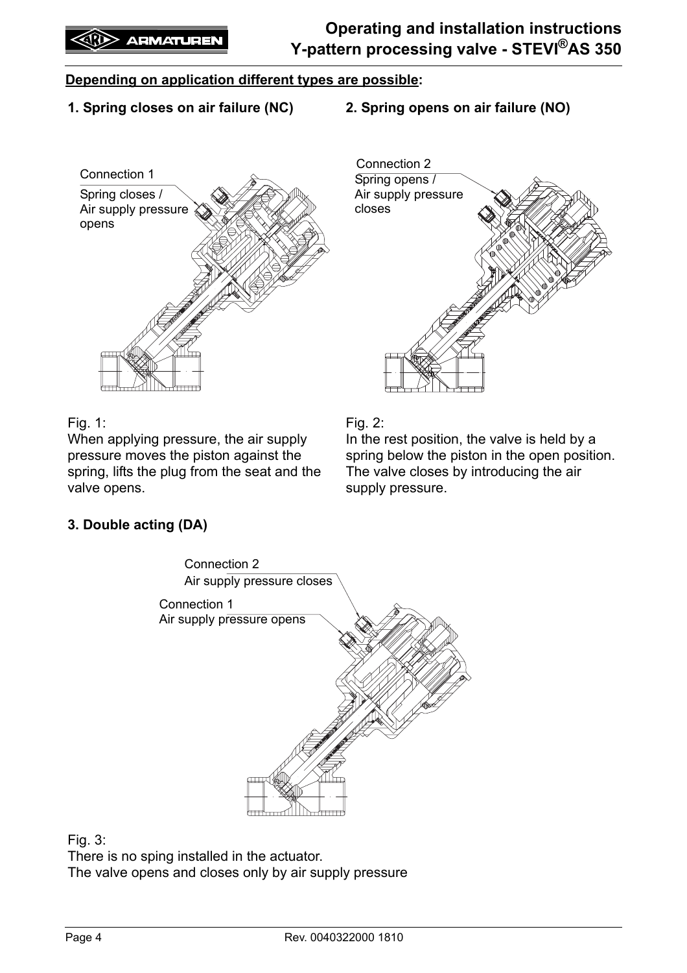#### **Depending on application different types are possible:**

- **1. Spring closes on air failure (NC)**
- **2. Spring opens on air failure (NO)**





#### Fig. 1:

When applying pressure, the air supply pressure moves the piston against the spring, lifts the plug from the seat and the valve opens.

Fig. 2:

In the rest position, the valve is held by a spring below the piston in the open position. The valve closes by introducing the air supply pressure.

#### **3. Double acting (DA)**



Fig. 3:

There is no sping installed in the actuator. The valve opens and closes only by air supply pressure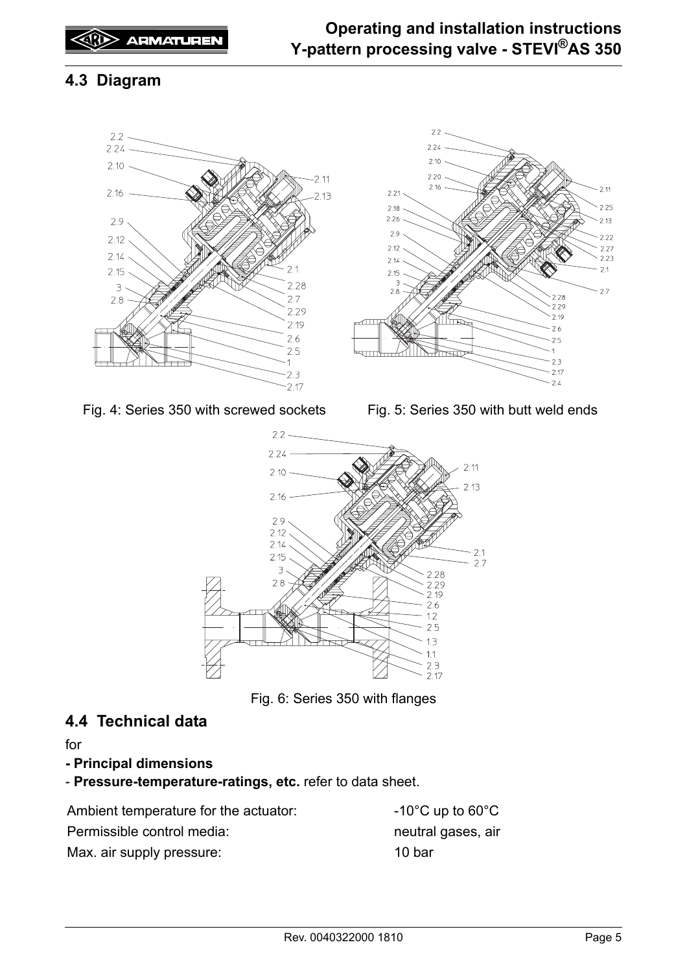### <span id="page-4-0"></span>**4.3 Diagram**





Fig. 4: Series 350 with screwed sockets Fig. 5: Series 350 with butt weld ends



Fig. 6: Series 350 with flanges

### <span id="page-4-1"></span>**4.4 Technical data**

for

- **Principal dimensions**
- **Pressure-temperature-ratings, etc.** refer to data sheet.

| Ambient temperature for the actuator: | $-10^{\circ}$ C up to 60 $^{\circ}$ C |
|---------------------------------------|---------------------------------------|
| Permissible control media:            | neutral gases, air                    |
| Max. air supply pressure:             | 10 bar                                |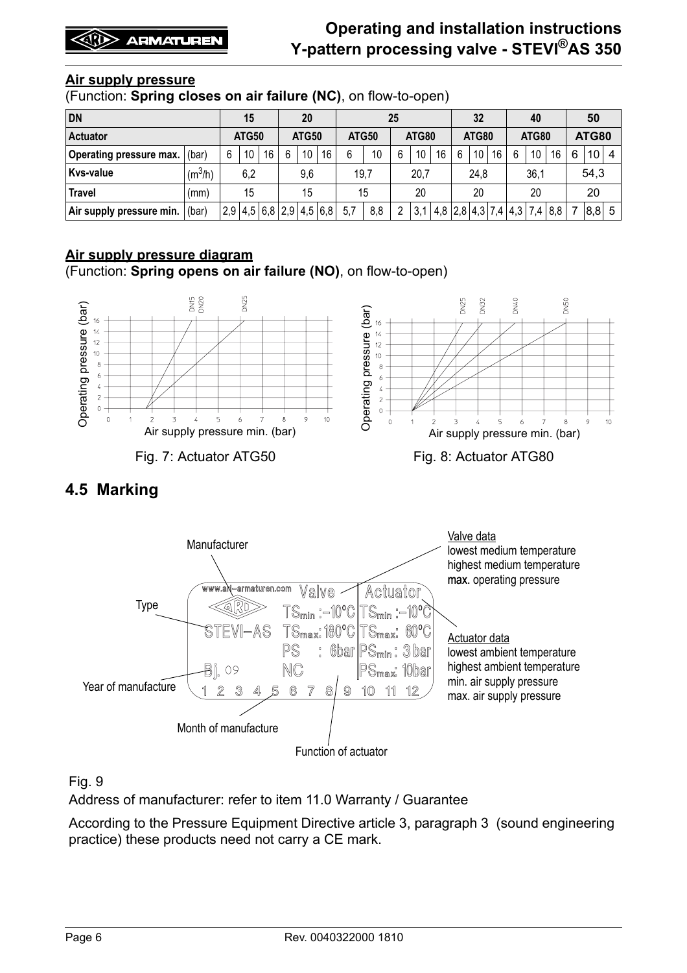#### **Air supply pressure**

(Function: **Spring closes on air failure (NC)**, on flow-to-open)

| <b>DN</b>                |                     | 15                      |    | <b>20</b> |    |      | 25           |      |       |      | 32              |                         |              | 40   |              |    | 50 |     |   |                 |   |
|--------------------------|---------------------|-------------------------|----|-----------|----|------|--------------|------|-------|------|-----------------|-------------------------|--------------|------|--------------|----|----|-----|---|-----------------|---|
| <b>Actuator</b>          |                     | <b>ATG50</b>            |    | ATG50     |    |      | <b>ATG50</b> |      | ATG80 |      | <b>ATG80</b>    |                         | <b>ATG80</b> |      | <b>ATG80</b> |    |    |     |   |                 |   |
| Operating pressure max.  | (bar)               | 6                       | 10 | 16        | 6  | 10   | 16           | 6    | 10    | 6    | 10 <sup>°</sup> | 16                      | 6            | 10   | 16           | 6  | 10 | 16  | 6 | 10 <sup>1</sup> | 4 |
| Kvs-value                | (m <sup>3</sup> /h) | 6,2                     |    | 9,6       |    | 19,7 |              | 20,7 |       | 24,8 |                 | 36,1                    |              | 54,3 |              |    |    |     |   |                 |   |
| <b>Travel</b>            | (mm)                |                         | 15 |           | 15 |      | 15           |      | 20    |      | 20              |                         | 20           |      |              | 20 |    |     |   |                 |   |
| Air supply pressure min. | (bar)               | 2,9 4,5 6,8 2,9 4,5 6,8 |    |           |    |      |              | 5,7  | 8,8   |      | 3,1             | 4,8 2,8 4,3 7,4 4,3 7,4 |              |      |              |    |    | 8,8 |   | 8,8             | 5 |

#### **Air supply pressure diagram**

(Function: **Spring opens on air failure (NO)**, on flow-to-open)



### <span id="page-5-0"></span>**4.5 Marking**



#### Fig. 9

Address of manufacturer: refer to item [11.0 Warranty / Guarantee](#page-10-1)

According to the Pressure Equipment Directive article 3, paragraph 3 (sound engineering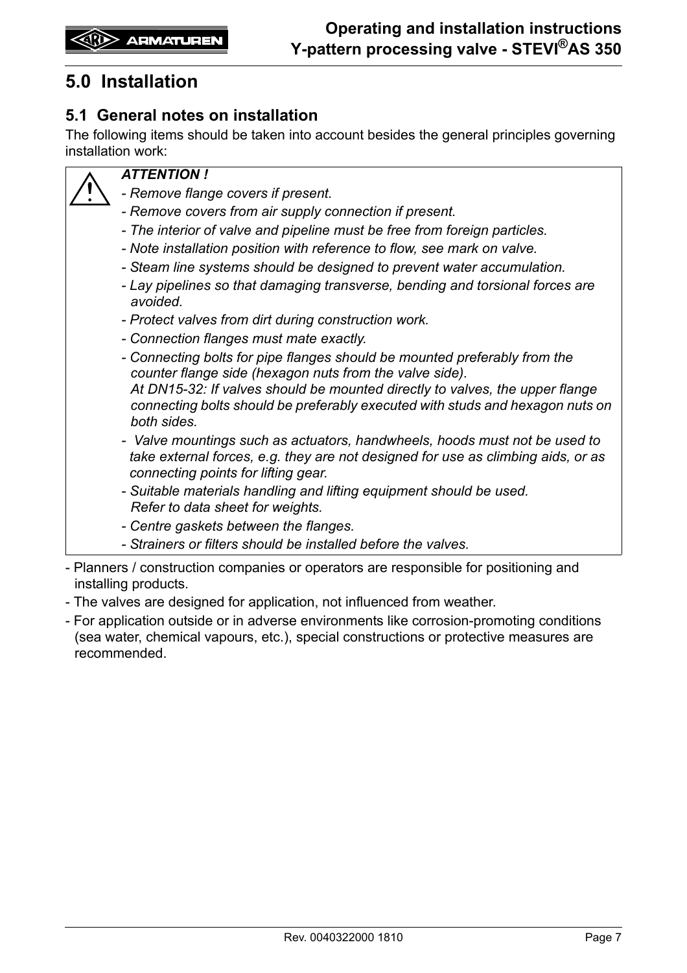# <span id="page-6-0"></span>**5.0 Installation**

### <span id="page-6-1"></span>**5.1 General notes on installation**

The following items should be taken into account besides the general principles governing installation work:



#### *ATTENTION !*

- *Remove flange covers if present.*
- *Remove covers from air supply connection if present.*
- *The interior of valve and pipeline must be free from foreign particles.*
- *Note installation position with reference to flow, see mark on valve.*
- *Steam line systems should be designed to prevent water accumulation.*
- *Lay pipelines so that damaging transverse, bending and torsional forces are avoided.*
- *Protect valves from dirt during construction work.*
- *Connection flanges must mate exactly.*
- *Connecting bolts for pipe flanges should be mounted preferably from the counter flange side (hexagon nuts from the valve side). At DN15-32: If valves should be mounted directly to valves, the upper flange connecting bolts should be preferably executed with studs and hexagon nuts on both sides.*
- *Valve mountings such as actuators, handwheels, hoods must not be used to take external forces, e.g. they are not designed for use as climbing aids, or as connecting points for lifting gear.*
- *Suitable materials handling and lifting equipment should be used. Refer to data sheet for weights.*
- *Centre gaskets between the flanges.*
- *Strainers or filters should be installed before the valves.*
- Planners / construction companies or operators are responsible for positioning and installing products.
- The valves are designed for application, not influenced from weather.
- For application outside or in adverse environments like corrosion-promoting conditions (sea water, chemical vapours, etc.), special constructions or protective measures are recommended.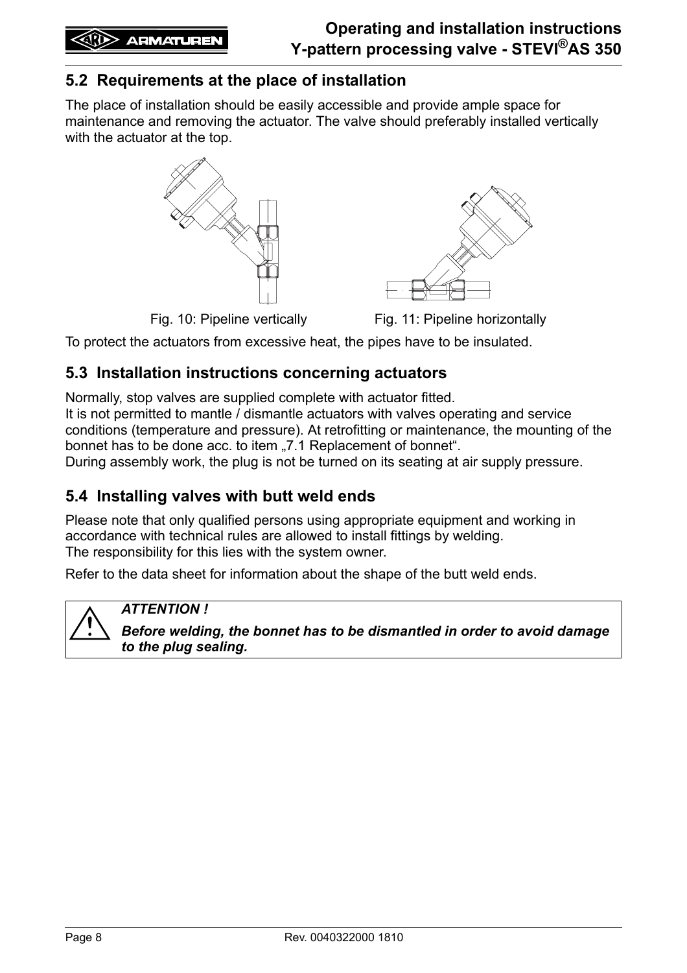### <span id="page-7-0"></span>**5.2 Requirements at the place of installation**

The place of installation should be easily accessible and provide ample space for maintenance and removing the actuator. The valve should preferably installed vertically with the actuator at the top.



Fig. 10: Pipeline vertically Fig. 11: Pipeline horizontally

To protect the actuators from excessive heat, the pipes have to be insulated.

### <span id="page-7-1"></span>**5.3 Installation instructions concerning actuators**

Normally, stop valves are supplied complete with actuator fitted.

It is not permitted to mantle / dismantle actuators with valves operating and service conditions (temperature and pressure). At retrofitting or maintenance, the mounting of the bonnet has to be done acc. to item "[7.1 Replacement of bonnet"](#page-8-2).

During assembly work, the plug is not be turned on its seating at air supply pressure.

### <span id="page-7-2"></span>**5.4 Installing valves with butt weld ends**

Please note that only qualified persons using appropriate equipment and working in accordance with technical rules are allowed to install fittings by welding. The responsibility for this lies with the system owner.

Refer to the data sheet for information about the shape of the butt weld ends.

#### *ATTENTION !*

*Before welding, the bonnet has to be dismantled in order to avoid damage to the plug sealing.*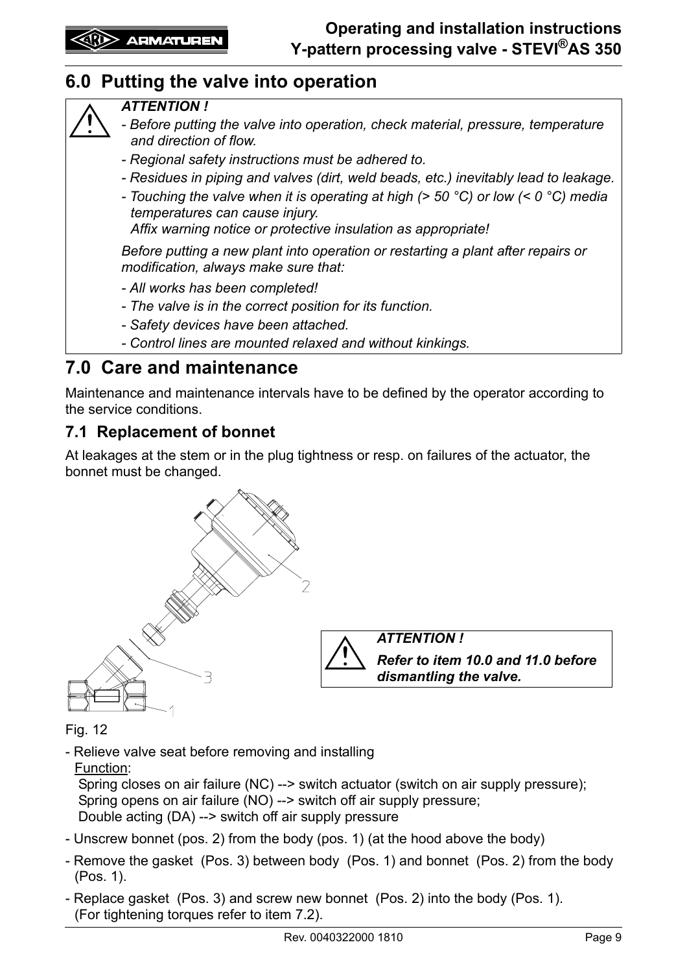# <span id="page-8-0"></span>**6.0 Putting the valve into operation**

#### *ATTENTION !*

- *Before putting the valve into operation, check material, pressure, temperature and direction of flow.*
- *Regional safety instructions must be adhered to.*
- *Residues in piping and valves (dirt, weld beads, etc.) inevitably lead to leakage.*
- *Touching the valve when it is operating at high (> 50 °C) or low (< 0 °C) media temperatures can cause injury.*

*Affix warning notice or protective insulation as appropriate!*

*Before putting a new plant into operation or restarting a plant after repairs or modification, always make sure that:*

- *All works has been completed!*
- *The valve is in the correct position for its function.*
- *Safety devices have been attached.*
- *Control lines are mounted relaxed and without kinkings.*

## <span id="page-8-1"></span>**7.0 Care and maintenance**

Maintenance and maintenance intervals have to be defined by the operator according to the service conditions.

### <span id="page-8-2"></span>**7.1 Replacement of bonnet**

At leakages at the stem or in the plug tightness or resp. on failures of the actuator, the bonnet must be changed.



*ATTENTION ! Refer to item [10.0](#page-10-0) and [11.0](#page-10-1) before dismantling the valve.*

Fig. 12

- Relieve valve seat before removing and installing

Function:

 Spring closes on air failure (NC) --> switch actuator (switch on air supply pressure); Spring opens on air failure (NO) --> switch off air supply pressure; Double acting (DA) --> switch off air supply pressure

- Unscrew bonnet (pos. 2) from the body (pos. 1) (at the hood above the body)
- Remove the gasket (Pos. 3) between body (Pos. 1) and bonnet (Pos. 2) from the body (Pos. 1).
- Replace gasket (Pos. 3) and screw new bonnet (Pos. 2) into the body (Pos. 1). (For tightening torques refer to item [7.2\)](#page-9-0).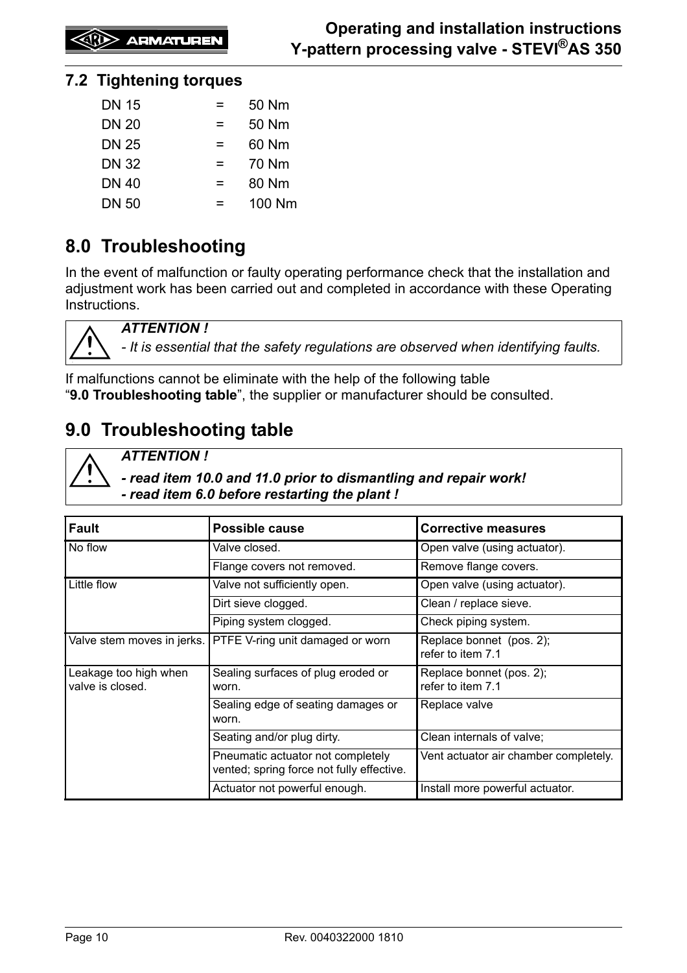**EXID** ARMATUREN

#### <span id="page-9-0"></span>**7.2 Tightening torques**

| <b>DN 15</b> | =   | 50 Nm  |
|--------------|-----|--------|
| <b>DN 20</b> | $=$ | 50 Nm  |
| <b>DN 25</b> | $=$ | 60 Nm  |
| <b>DN 32</b> | $=$ | 70 Nm  |
| <b>DN 40</b> | =   | 80 Nm  |
| <b>DN 50</b> | =   | 100 Nm |

# <span id="page-9-1"></span>**8.0 Troubleshooting**

In the event of malfunction or faulty operating performance check that the installation and adjustment work has been carried out and completed in accordance with these Operating Instructions.



*ATTENTION !*

*- It is essential that the safety regulations are observed when identifying faults.*

If malfunctions cannot be eliminate with the help of the following table "**9.0 Troubleshooting table**", the supplier or manufacturer should be consulted.

# <span id="page-9-2"></span>**9.0 Troubleshooting table**

*ATTENTION !* 

*- read item [10.0](#page-10-0) and [11.0](#page-10-1) prior to dismantling and repair work! - read item [6.0](#page-8-0) before restarting the plant !*

| <b>Fault</b>                              | <b>Possible cause</b>                                                          | <b>Corrective measures</b>                    |
|-------------------------------------------|--------------------------------------------------------------------------------|-----------------------------------------------|
| No flow                                   | Valve closed.                                                                  | Open valve (using actuator).                  |
|                                           | Flange covers not removed.                                                     | Remove flange covers.                         |
| Little flow                               | Valve not sufficiently open.                                                   | Open valve (using actuator).                  |
|                                           | Dirt sieve clogged.                                                            | Clean / replace sieve.                        |
|                                           | Piping system clogged.                                                         | Check piping system.                          |
| Valve stem moves in jerks.                | PTFE V-ring unit damaged or worn                                               | Replace bonnet (pos. 2);<br>refer to item 7.1 |
| Leakage too high when<br>valve is closed. | Sealing surfaces of plug eroded or<br>worn.                                    | Replace bonnet (pos. 2);<br>refer to item 7.1 |
|                                           | Sealing edge of seating damages or<br>worn.                                    | Replace valve                                 |
|                                           | Seating and/or plug dirty.                                                     | Clean internals of valve;                     |
|                                           | Pneumatic actuator not completely<br>vented; spring force not fully effective. | Vent actuator air chamber completely.         |
|                                           | Actuator not powerful enough.                                                  | Install more powerful actuator.               |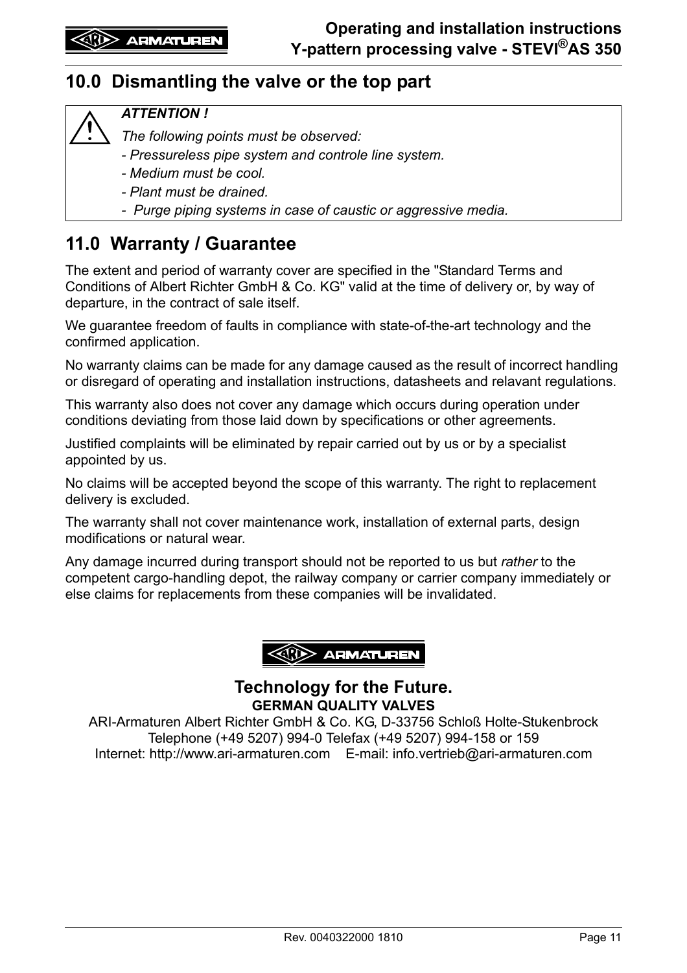## <span id="page-10-0"></span>**10.0 Dismantling the valve or the top part**

#### *ATTENTION !*

*The following points must be observed:*

- *Pressureless pipe system and controle line system.*
- *Medium must be cool.*
- *Plant must be drained.*
- *Purge piping systems in case of caustic or aggressive media.*

# <span id="page-10-1"></span>**11.0 Warranty / Guarantee**

The extent and period of warranty cover are specified in the "Standard Terms and Conditions of Albert Richter GmbH & Co. KG" valid at the time of delivery or, by way of departure, in the contract of sale itself.

We guarantee freedom of faults in compliance with state-of-the-art technology and the confirmed application.

No warranty claims can be made for any damage caused as the result of incorrect handling or disregard of operating and installation instructions, datasheets and relavant regulations.

This warranty also does not cover any damage which occurs during operation under conditions deviating from those laid down by specifications or other agreements.

Justified complaints will be eliminated by repair carried out by us or by a specialist appointed by us.

No claims will be accepted beyond the scope of this warranty. The right to replacement delivery is excluded.

The warranty shall not cover maintenance work, installation of external parts, design modifications or natural wear.

Any damage incurred during transport should not be reported to us but *rather* to the competent cargo-handling depot, the railway company or carrier company immediately or else claims for replacements from these companies will be invalidated.



#### **Technology for the Future. GERMAN QUALITY VALVES**

ARI-Armaturen Albert Richter GmbH & Co. KG, D-33756 Schloß Holte-Stukenbrock Telephone (+49 5207) 994-0 Telefax (+49 5207) 994-158 or 159 Internet: http://www.ari-armaturen.com E-mail: info.vertrieb@ari-armaturen.com